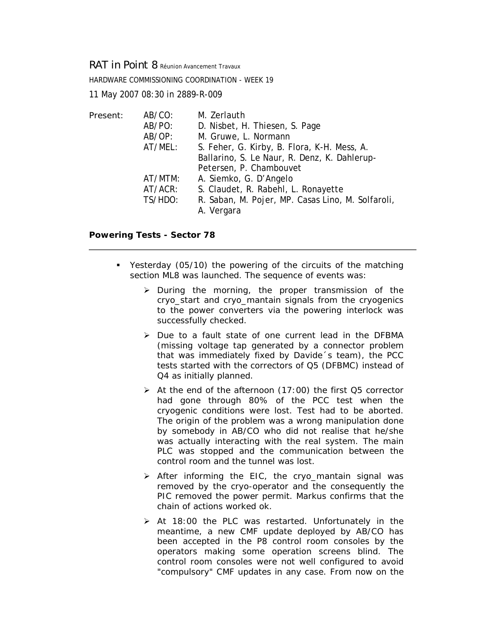*RAT in Point 8* Réunion Avancement Travaux

HARDWARE COMMISSIONING COORDINATION - WEEK 19

11 May 2007 08:30 in 2889-R-009

| Present: | AB/CO:  | M. Zerlauth                                       |
|----------|---------|---------------------------------------------------|
|          | AB/PO:  | D. Nisbet, H. Thiesen, S. Page                    |
|          | AB/OP:  | M. Gruwe, L. Normann                              |
|          | AT/MEL: | S. Feher, G. Kirby, B. Flora, K-H. Mess, A.       |
|          |         | Ballarino, S. Le Naur, R. Denz, K. Dahlerup-      |
|          |         | Petersen, P. Chambouvet                           |
|          | AT/MTM: | A. Siemko, G. D'Angelo                            |
|          | AT/ACR: | S. Claudet, R. Rabehl, L. Ronayette               |
|          | TS/HDO: | R. Saban, M. Pojer, MP. Casas Lino, M. Solfaroli, |
|          |         | A. Vergara                                        |
|          |         |                                                   |

## **Powering Tests - Sector 78**

- Yesterday (05/10) the powering of the circuits of the matching section ML8 was launched. The sequence of events was:
	- $\triangleright$  During the morning, the proper transmission of the cryo\_start and cryo\_mantain signals from the cryogenics to the power converters via the powering interlock was successfully checked.
	- ¾ Due to a fault state of one current lead in the DFBMA (missing voltage tap generated by a connector problem that was immediately fixed by Davide´s team), the PCC tests started with the correctors of Q5 (DFBMC) instead of Q4 as initially planned.
	- $\triangleright$  At the end of the afternoon (17:00) the first Q5 corrector had gone through 80% of the PCC test when the cryogenic conditions were lost. Test had to be aborted. The origin of the problem was a wrong manipulation done by somebody in AB/CO who did not realise that he/she was actually interacting with the real system. The main PLC was stopped and the communication between the control room and the tunnel was lost.
	- ¾ After informing the EIC, the cryo\_mantain signal was removed by the cryo-operator and the consequently the PIC removed the power permit. Markus confirms that the chain of actions worked ok.
	- $\triangleright$  At 18:00 the PLC was restarted. Unfortunately in the meantime, a new CMF update deployed by AB/CO has been accepted in the P8 control room consoles by the operators making some operation screens blind. The control room consoles were not well configured to avoid "compulsory" CMF updates in any case. From now on the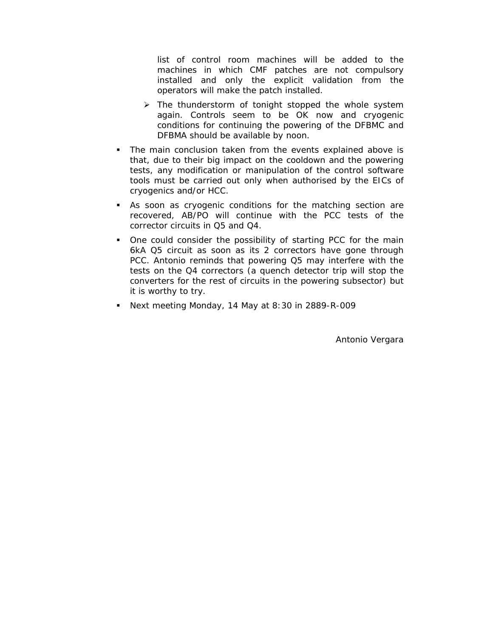list of control room machines will be added to the machines in which CMF patches are not compulsory installed and only the explicit validation from the operators will make the patch installed.

- $\triangleright$  The thunderstorm of tonight stopped the whole system again. Controls seem to be OK now and cryogenic conditions for continuing the powering of the DFBMC and DFBMA should be available by noon.
- The main conclusion taken from the events explained above is that, due to their big impact on the cooldown and the powering tests, any modification or manipulation of the control software tools must be carried out only when authorised by the EICs of cryogenics and/or HCC.
- As soon as cryogenic conditions for the matching section are recovered, AB/PO will continue with the PCC tests of the corrector circuits in Q5 and Q4.
- One could consider the possibility of starting PCC for the main 6kA Q5 circuit as soon as its 2 correctors have gone through PCC. Antonio reminds that powering Q5 may interfere with the tests on the Q4 correctors (a quench detector trip will stop the converters for the rest of circuits in the powering subsector) but it is worthy to try.
- Next meeting Monday, 14 May at 8:30 in 2889-R-009

Antonio Vergara